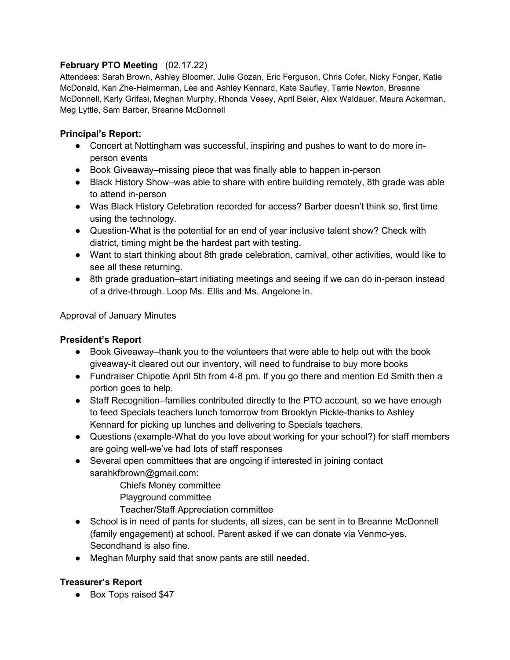## **February PTO Meeting** (02.17.22)

Attendees: Sarah Brown, Ashley Bloomer, Julie Gozan, Eric Ferguson, Chris Cofer, Nicky Fonger, Katie McDonald, Kari Zhe-Heimerman, Lee and Ashley Kennard, Kate Saufley, Tarrie Newton, Breanne McDonnell, Karly Grifasi, Meghan Murphy, Rhonda Vesey, April Beier, Alex Waldauer, Maura Ackerman, Meg Lyttle, Sam Barber, Breanne McDonnell

## **Principal's Report:**

- Concert at Nottingham was successful, inspiring and pushes to want to do more inperson events
- Book Giveaway–missing piece that was finally able to happen in-person
- Black History Show–was able to share with entire building remotely, 8th grade was able to attend in-person
- Was Black History Celebration recorded for access? Barber doesn't think so, first time using the technology.
- Question-What is the potential for an end of year inclusive talent show? Check with district, timing might be the hardest part with testing.
- Want to start thinking about 8th grade celebration, carnival, other activities, would like to see all these returning.
- 8th grade graduation–start initiating meetings and seeing if we can do in-person instead of a drive-through. Loop Ms. Ellis and Ms. Angelone in.

Approval of January Minutes

### **President's Report**

- Book Giveaway–thank you to the volunteers that were able to help out with the book giveaway-it cleared out our inventory, will need to fundraise to buy more books
- Fundraiser Chipotle April 5th from 4-8 pm. If you go there and mention Ed Smith then a portion goes to help.
- Staff Recognition–families contributed directly to the PTO account, so we have enough to feed Specials teachers lunch tomorrow from Brooklyn Pickle-thanks to Ashley Kennard for picking up lunches and delivering to Specials teachers.
- Questions (example-What do you love about working for your school?) for staff members are going well-we've had lots of staff responses
- Several open committees that are ongoing if interested in joining contact sarahkfbrown@gmail.com:
	- Chiefs Money committee
	- Playground committee
	- Teacher/Staff Appreciation committee
- School is in need of pants for students, all sizes, can be sent in to Breanne McDonnell (family engagement) at school. Parent asked if we can donate via Venmo-yes. Secondhand is also fine.
- Meghan Murphy said that snow pants are still needed.

### **Treasurer's Report**

● Box Tops raised \$47